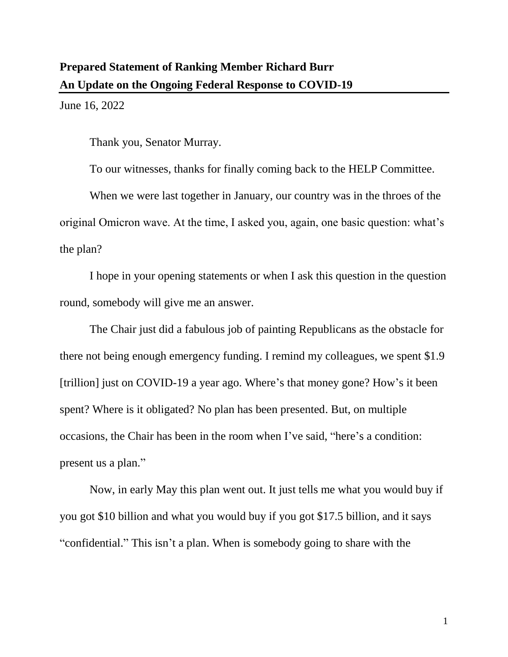June 16, 2022

Thank you, Senator Murray.

To our witnesses, thanks for finally coming back to the HELP Committee.

When we were last together in January, our country was in the throes of the original Omicron wave. At the time, I asked you, again, one basic question: what's the plan?

I hope in your opening statements or when I ask this question in the question round, somebody will give me an answer.

The Chair just did a fabulous job of painting Republicans as the obstacle for there not being enough emergency funding. I remind my colleagues, we spent \$1.9 [trillion] just on COVID-19 a year ago. Where's that money gone? How's it been spent? Where is it obligated? No plan has been presented. But, on multiple occasions, the Chair has been in the room when I've said, "here's a condition: present us a plan."

Now, in early May this plan went out. It just tells me what you would buy if you got \$10 billion and what you would buy if you got \$17.5 billion, and it says "confidential." This isn't a plan. When is somebody going to share with the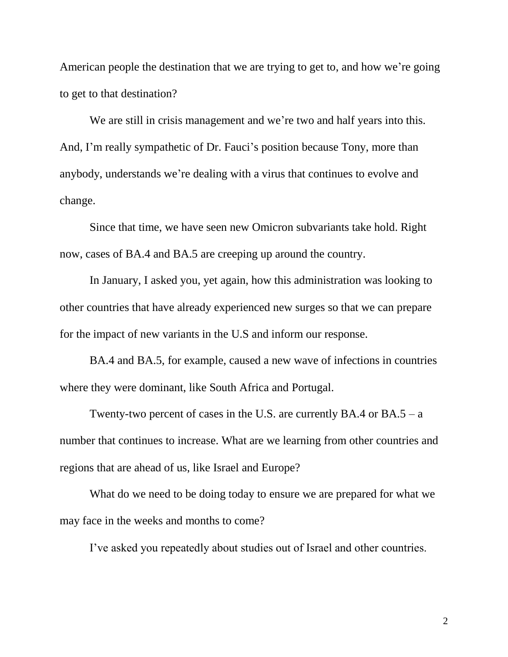American people the destination that we are trying to get to, and how we're going to get to that destination?

We are still in crisis management and we're two and half years into this. And, I'm really sympathetic of Dr. Fauci's position because Tony, more than anybody, understands we're dealing with a virus that continues to evolve and change.

Since that time, we have seen new Omicron subvariants take hold. Right now, cases of BA.4 and BA.5 are creeping up around the country.

In January, I asked you, yet again, how this administration was looking to other countries that have already experienced new surges so that we can prepare for the impact of new variants in the U.S and inform our response.

BA.4 and BA.5, for example, caused a new wave of infections in countries where they were dominant, like South Africa and Portugal.

Twenty-two percent of cases in the U.S. are currently BA.4 or  $BA.5 - a$ number that continues to increase. What are we learning from other countries and regions that are ahead of us, like Israel and Europe?

What do we need to be doing today to ensure we are prepared for what we may face in the weeks and months to come?

I've asked you repeatedly about studies out of Israel and other countries.

2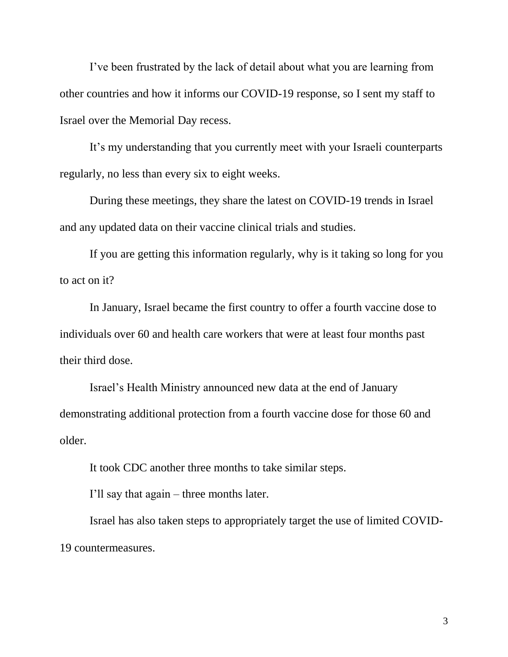I've been frustrated by the lack of detail about what you are learning from other countries and how it informs our COVID-19 response, so I sent my staff to Israel over the Memorial Day recess.

It's my understanding that you currently meet with your Israeli counterparts regularly, no less than every six to eight weeks.

During these meetings, they share the latest on COVID-19 trends in Israel and any updated data on their vaccine clinical trials and studies.

If you are getting this information regularly, why is it taking so long for you to act on it?

In January, Israel became the first country to offer a fourth vaccine dose to individuals over 60 and health care workers that were at least four months past their third dose.

Israel's Health Ministry announced new data at the end of January demonstrating additional protection from a fourth vaccine dose for those 60 and older.

It took CDC another three months to take similar steps.

I'll say that again – three months later.

Israel has also taken steps to appropriately target the use of limited COVID-19 countermeasures.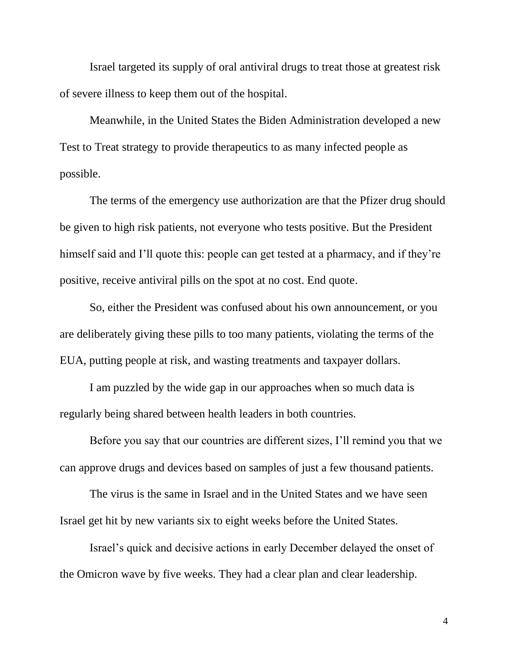Israel targeted its supply of oral antiviral drugs to treat those at greatest risk of severe illness to keep them out of the hospital.

Meanwhile, in the United States the Biden Administration developed a new Test to Treat strategy to provide therapeutics to as many infected people as possible.

The terms of the emergency use authorization are that the Pfizer drug should be given to high risk patients, not everyone who tests positive. But the President himself said and I'll quote this: people can get tested at a pharmacy, and if they're positive, receive antiviral pills on the spot at no cost. End quote.

So, either the President was confused about his own announcement, or you are deliberately giving these pills to too many patients, violating the terms of the EUA, putting people at risk, and wasting treatments and taxpayer dollars.

I am puzzled by the wide gap in our approaches when so much data is regularly being shared between health leaders in both countries.

Before you say that our countries are different sizes, I'll remind you that we can approve drugs and devices based on samples of just a few thousand patients.

The virus is the same in Israel and in the United States and we have seen Israel get hit by new variants six to eight weeks before the United States.

Israel's quick and decisive actions in early December delayed the onset of the Omicron wave by five weeks. They had a clear plan and clear leadership.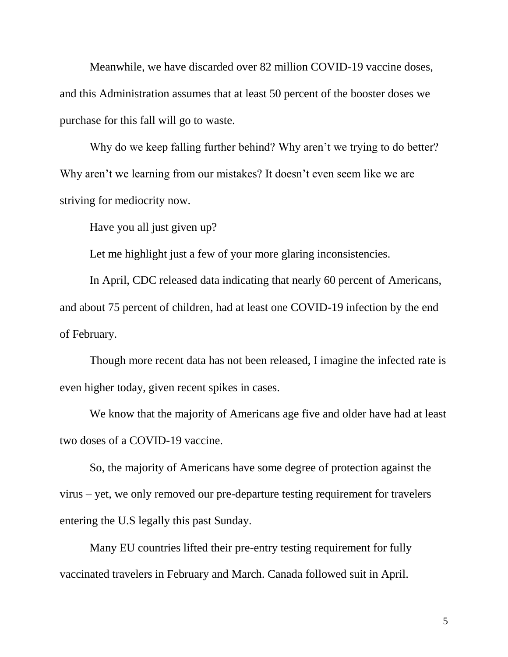Meanwhile, we have discarded over 82 million COVID-19 vaccine doses, and this Administration assumes that at least 50 percent of the booster doses we purchase for this fall will go to waste.

Why do we keep falling further behind? Why aren't we trying to do better? Why aren't we learning from our mistakes? It doesn't even seem like we are striving for mediocrity now.

Have you all just given up?

Let me highlight just a few of your more glaring inconsistencies.

In April, CDC released data indicating that nearly 60 percent of Americans, and about 75 percent of children, had at least one COVID-19 infection by the end of February.

Though more recent data has not been released, I imagine the infected rate is even higher today, given recent spikes in cases.

We know that the majority of Americans age five and older have had at least two doses of a COVID-19 vaccine.

So, the majority of Americans have some degree of protection against the virus – yet, we only removed our pre-departure testing requirement for travelers entering the U.S legally this past Sunday.

Many EU countries lifted their pre-entry testing requirement for fully vaccinated travelers in February and March. Canada followed suit in April.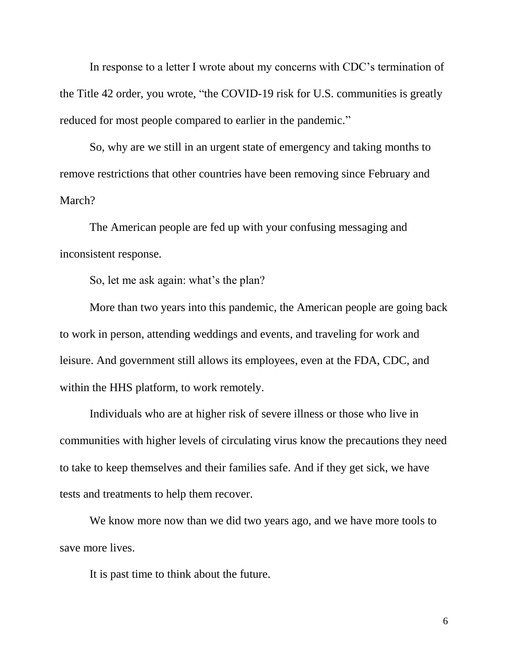In response to a letter I wrote about my concerns with CDC's termination of the Title 42 order, you wrote, "the COVID-19 risk for U.S. communities is greatly reduced for most people compared to earlier in the pandemic."

So, why are we still in an urgent state of emergency and taking months to remove restrictions that other countries have been removing since February and March?

The American people are fed up with your confusing messaging and inconsistent response.

So, let me ask again: what's the plan?

More than two years into this pandemic, the American people are going back to work in person, attending weddings and events, and traveling for work and leisure. And government still allows its employees, even at the FDA, CDC, and within the HHS platform, to work remotely.

Individuals who are at higher risk of severe illness or those who live in communities with higher levels of circulating virus know the precautions they need to take to keep themselves and their families safe. And if they get sick, we have tests and treatments to help them recover.

We know more now than we did two years ago, and we have more tools to save more lives.

It is past time to think about the future.